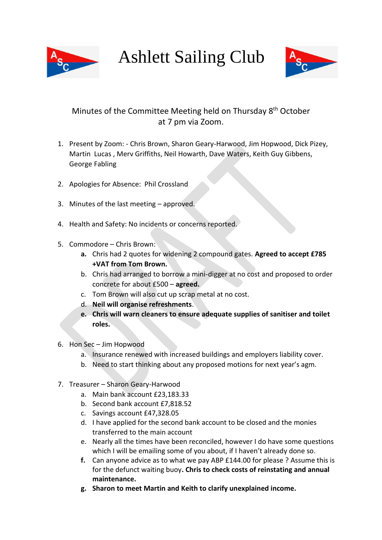

## Ashlett Sailing Club



## Minutes of the Committee Meeting held on Thursday 8<sup>th</sup> October at 7 pm via Zoom.

- 1. Present by Zoom: Chris Brown, Sharon Geary-Harwood, Jim Hopwood, Dick Pizey, Martin Lucas , Merv Griffiths, Neil Howarth, Dave Waters, Keith Guy Gibbens, George Fabling
- 2. Apologies for Absence: Phil Crossland
- 3. Minutes of the last meeting approved.
- 4. Health and Safety: No incidents or concerns reported.
- 5. Commodore Chris Brown:
	- **a.** Chris had 2 quotes for widening 2 compound gates. **Agreed to accept £785 +VAT from Tom Brown.**
	- b. Chris had arranged to borrow a mini-digger at no cost and proposed to order concrete for about £500 – **agreed.**
	- c. Tom Brown will also cut up scrap metal at no cost.
	- d. **Neil will organise refreshments**.
	- **e. Chris will warn cleaners to ensure adequate supplies of sanitiser and toilet roles.**
- 6. Hon Sec Jim Hopwood
	- a. Insurance renewed with increased buildings and employers liability cover.
	- b. Need to start thinking about any proposed motions for next year's agm.
- 7. Treasurer Sharon Geary-Harwood
	- a. Main bank account £23,183.33
	- b. Second bank account £7,818.52
	- c. Savings account £47,328.05
	- d. I have applied for the second bank account to be closed and the monies transferred to the main account
	- e. Nearly all the times have been reconciled, however I do have some questions which I will be emailing some of you about, if I haven't already done so.
	- **f.** Can anyone advice as to what we pay ABP £144.00 for please ? Assume this is for the defunct waiting buoy**. Chris to check costs of reinstating and annual maintenance.**
	- **g. Sharon to meet Martin and Keith to clarify unexplained income.**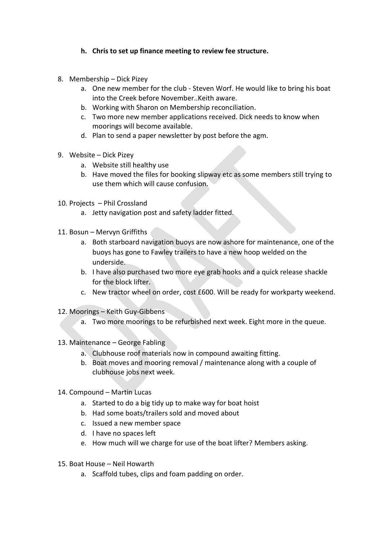## **h. Chris to set up finance meeting to review fee structure.**

- 8. Membership Dick Pizey
	- a. One new member for the club Steven Worf. He would like to bring his boat into the Creek before November..Keith aware.
	- b. Working with Sharon on Membership reconciliation.
	- c. Two more new member applications received. Dick needs to know when moorings will become available.
	- d. Plan to send a paper newsletter by post before the agm.
- 9. Website Dick Pizey
	- a. Website still healthy use
	- b. Have moved the files for booking slipway etc as some members still trying to use them which will cause confusion.
- 10. Projects Phil Crossland
	- a. Jetty navigation post and safety ladder fitted.
- 11. Bosun Mervyn Griffiths
	- a. Both starboard navigation buoys are now ashore for maintenance, one of the buoys has gone to Fawley trailers to have a new hoop welded on the underside.
	- b. I have also purchased two more eye grab hooks and a quick release shackle for the block lifter.
	- c. New tractor wheel on order, cost £600. Will be ready for workparty weekend.
- 12. Moorings Keith Guy-Gibbens
	- a. Two more moorings to be refurbished next week. Eight more in the queue.
- 13. Maintenance George Fabling
	- a. Clubhouse roof materials now in compound awaiting fitting.
	- b. Boat moves and mooring removal / maintenance along with a couple of clubhouse jobs next week.
- 14. Compound Martin Lucas
	- a. Started to do a big tidy up to make way for boat hoist
	- b. Had some boats/trailers sold and moved about
	- c. Issued a new member space
	- d. I have no spaces left
	- e. How much will we charge for use of the boat lifter? Members asking.
- 15. Boat House Neil Howarth
	- a. Scaffold tubes, clips and foam padding on order.